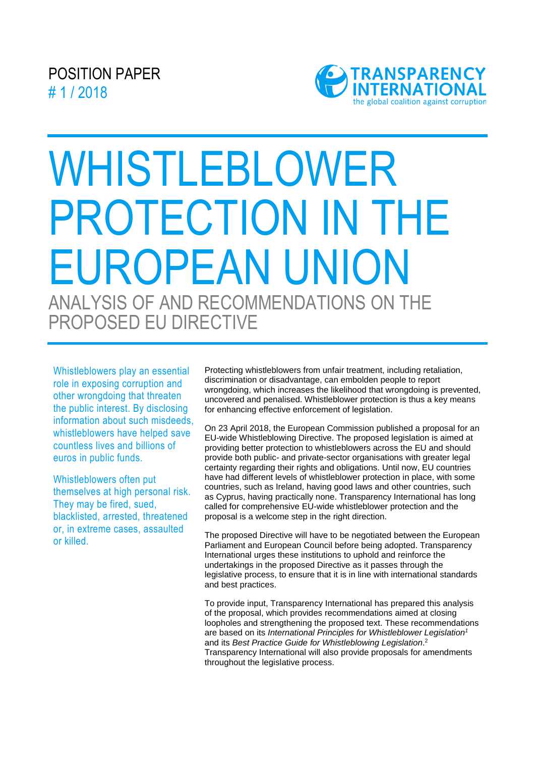# POSITION PAPER # 1 / 2018



# WHISTLEBLOWER PROTECTION IN THE EUROPEAN UNION ANALYSIS OF AND RECOMMENDATIONS ON THE PROPOSED EU DIRECTIVE

Whistleblowers play an essential role in exposing corruption and other wrongdoing that threaten the public interest. By disclosing information about such misdeeds, whistleblowers have helped save countless lives and billions of euros in public funds.

Whistleblowers often put themselves at high personal risk. They may be fired, sued, blacklisted, arrested, threatened or, in extreme cases, assaulted or killed.

Protecting whistleblowers from unfair treatment, including retaliation, discrimination or disadvantage, can embolden people to report wrongdoing, which increases the likelihood that wrongdoing is prevented, uncovered and penalised. Whistleblower protection is thus a key means for enhancing effective enforcement of legislation.

On 23 April 2018, the European Commission published a proposal for an EU-wide Whistleblowing Directive. The proposed legislation is aimed at providing better protection to whistleblowers across the EU and should provide both public- and private-sector organisations with greater legal certainty regarding their rights and obligations. Until now, EU countries have had different levels of whistleblower protection in place, with some countries, such as Ireland, having good laws and other countries, such as Cyprus, having practically none. Transparency International has long called for comprehensive EU-wide whistleblower protection and the proposal is a welcome step in the right direction.

The proposed Directive will have to be negotiated between the European Parliament and European Council before being adopted. Transparency International urges these institutions to uphold and reinforce the undertakings in the proposed Directive as it passes through the legislative process, to ensure that it is in line with international standards and best practices.

To provide input, Transparency International has prepared this analysis of the proposal, which provides recommendations aimed at closing loopholes and strengthening the proposed text. These recommendations are based on its *International Principles for Whistleblower Legislation<sup>1</sup>* and its *Best Practice Guide for Whistleblowing Legislation*. 2 Transparency International will also provide proposals for amendments throughout the legislative process.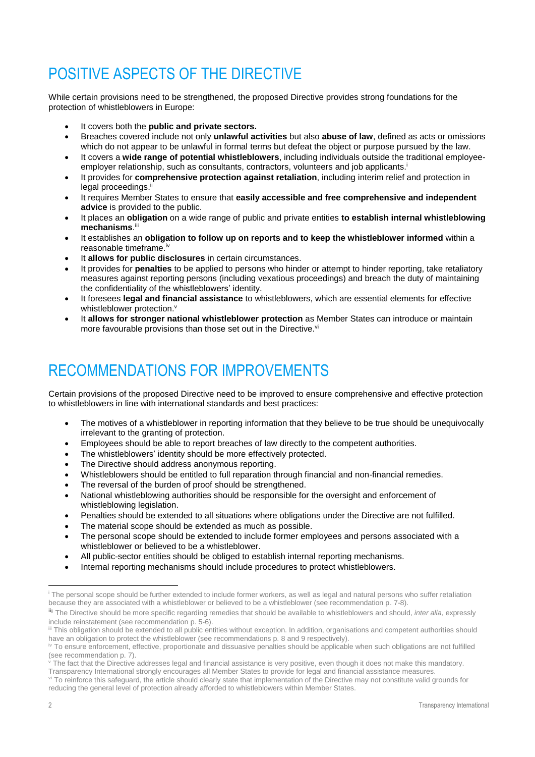# POSITIVE ASPECTS OF THE DIRECTIVE

While certain provisions need to be strengthened, the proposed Directive provides strong foundations for the protection of whistleblowers in Europe:

- It covers both the **public and private sectors.**
- Breaches covered include not only **unlawful activities** but also **abuse of law**, defined as acts or omissions which do not appear to be unlawful in formal terms but defeat the object or purpose pursued by the law.
- It covers a **wide range of potential whistleblowers**, including individuals outside the traditional employeeemployer relationship, such as consultants, contractors, volunteers and job applicants.<sup>i</sup>
- It provides for **comprehensive protection against retaliation**, including interim relief and protection in legal proceedings.<sup>ii</sup>
- It requires Member States to ensure that **easily accessible and free comprehensive and independent advice** is provided to the public.
- It places an **obligation** on a wide range of public and private entities **to establish internal whistleblowing mechanisms**. iii
- It establishes an **obligation to follow up on reports and to keep the whistleblower informed** within a reasonable timeframe.iv
- It **allows for public disclosures** in certain circumstances.
- It provides for **penalties** to be applied to persons who hinder or attempt to hinder reporting, take retaliatory measures against reporting persons (including vexatious proceedings) and breach the duty of maintaining the confidentiality of the whistleblowers' identity.
- It foresees **legal and financial assistance** to whistleblowers, which are essential elements for effective whistleblower protection.<sup>v</sup>
- It **allows for stronger national whistleblower protection** as Member States can introduce or maintain more favourable provisions than those set out in the Directive.<sup>vi</sup>

# RECOMMENDATIONS FOR IMPROVEMENTS

Certain provisions of the proposed Directive need to be improved to ensure comprehensive and effective protection to whistleblowers in line with international standards and best practices:

- The motives of a whistleblower in reporting information that they believe to be true should be unequivocally irrelevant to the granting of protection.
- Employees should be able to report breaches of law directly to the competent authorities.
- The whistleblowers' identity should be more effectively protected.
- The Directive should address anonymous reporting.
- Whistleblowers should be entitled to full reparation through financial and non-financial remedies.
- The reversal of the burden of proof should be strengthened.
- National whistleblowing authorities should be responsible for the oversight and enforcement of whistleblowing legislation.
- Penalties should be extended to all situations where obligations under the Directive are not fulfilled.
- The material scope should be extended as much as possible.
- The personal scope should be extended to include former employees and persons associated with a whistleblower or believed to be a whistleblower.
- All public-sector entities should be obliged to establish internal reporting mechanisms.
- Internal reporting mechanisms should include procedures to protect whistleblowers.

**.** 

<sup>i</sup> The personal scope should be further extended to include former workers, as well as legal and natural persons who suffer retaliation because they are associated with a whistleblower or believed to be a whistleblower (see recommendation p. 7-8).

iii The Directive should be more specific regarding remedies that should be available to whistleblowers and should, *inter alia*, expressly include reinstatement (see recommendation p. 5-6).

iii This obligation should be extended to all public entities without exception. In addition, organisations and competent authorities should have an obligation to protect the whistleblower (see recommendations p. 8 and 9 respectively).

iv To ensure enforcement, effective, proportionate and dissuasive penalties should be applicable when such obligations are not fulfilled (see recommendation p. 7).

<sup>&</sup>lt;sup>v</sup> The fact that the Directive addresses legal and financial assistance is very positive, even though it does not make this mandatory. Transparency International strongly encourages all Member States to provide for legal and financial assistance measures.

vi To reinforce this safeguard, the article should clearly state that implementation of the Directive may not constitute valid grounds for reducing the general level of protection already afforded to whistleblowers within Member States.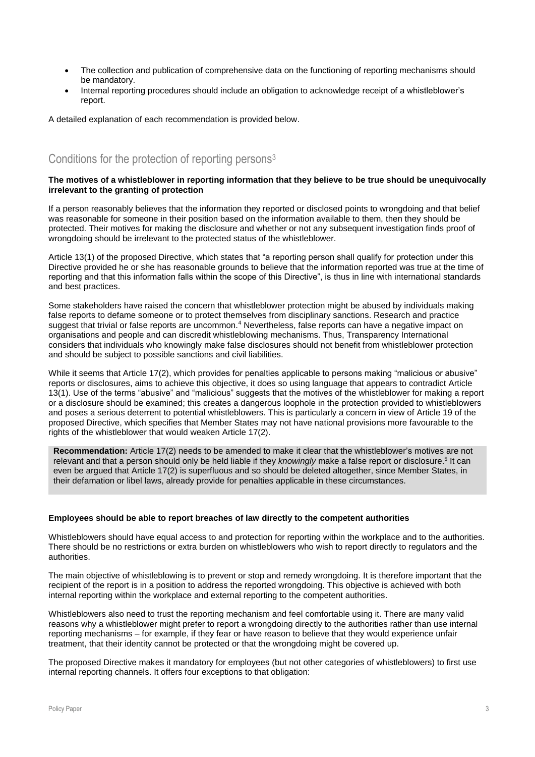- The collection and publication of comprehensive data on the functioning of reporting mechanisms should be mandatory.
- Internal reporting procedures should include an obligation to acknowledge receipt of a whistleblower's report.

A detailed explanation of each recommendation is provided below.

# Conditions for the protection of reporting persons<sup>3</sup>

# **The motives of a whistleblower in reporting information that they believe to be true should be unequivocally irrelevant to the granting of protection**

If a person reasonably believes that the information they reported or disclosed points to wrongdoing and that belief was reasonable for someone in their position based on the information available to them, then they should be protected. Their motives for making the disclosure and whether or not any subsequent investigation finds proof of wrongdoing should be irrelevant to the protected status of the whistleblower.

Article 13(1) of the proposed Directive, which states that "a reporting person shall qualify for protection under this Directive provided he or she has reasonable grounds to believe that the information reported was true at the time of reporting and that this information falls within the scope of this Directive", is thus in line with international standards and best practices.

Some stakeholders have raised the concern that whistleblower protection might be abused by individuals making false reports to defame someone or to protect themselves from disciplinary sanctions. Research and practice suggest that trivial or false reports are uncommon.<sup>4</sup> Nevertheless, false reports can have a negative impact on organisations and people and can discredit whistleblowing mechanisms. Thus, Transparency International considers that individuals who knowingly make false disclosures should not benefit from whistleblower protection and should be subject to possible sanctions and civil liabilities.

While it seems that Article 17(2), which provides for penalties applicable to persons making "malicious or abusive" reports or disclosures, aims to achieve this objective, it does so using language that appears to contradict Article 13(1). Use of the terms "abusive" and "malicious" suggests that the motives of the whistleblower for making a report or a disclosure should be examined; this creates a dangerous loophole in the protection provided to whistleblowers and poses a serious deterrent to potential whistleblowers. This is particularly a concern in view of Article 19 of the proposed Directive, which specifies that Member States may not have national provisions more favourable to the rights of the whistleblower that would weaken Article 17(2).

**Recommendation:** Article 17(2) needs to be amended to make it clear that the whistleblower's motives are not relevant and that a person should only be held liable if they *knowingly* make a false report or disclosure.<sup>5</sup> It can even be argued that Article 17(2) is superfluous and so should be deleted altogether, since Member States, in their defamation or libel laws, already provide for penalties applicable in these circumstances.

# **Employees should be able to report breaches of law directly to the competent authorities**

Whistleblowers should have equal access to and protection for reporting within the workplace and to the authorities. There should be no restrictions or extra burden on whistleblowers who wish to report directly to regulators and the authorities.

The main objective of whistleblowing is to prevent or stop and remedy wrongdoing. It is therefore important that the recipient of the report is in a position to address the reported wrongdoing. This objective is achieved with both internal reporting within the workplace and external reporting to the competent authorities.

Whistleblowers also need to trust the reporting mechanism and feel comfortable using it. There are many valid reasons why a whistleblower might prefer to report a wrongdoing directly to the authorities rather than use internal reporting mechanisms – for example, if they fear or have reason to believe that they would experience unfair treatment, that their identity cannot be protected or that the wrongdoing might be covered up.

The proposed Directive makes it mandatory for employees (but not other categories of whistleblowers) to first use internal reporting channels. It offers four exceptions to that obligation: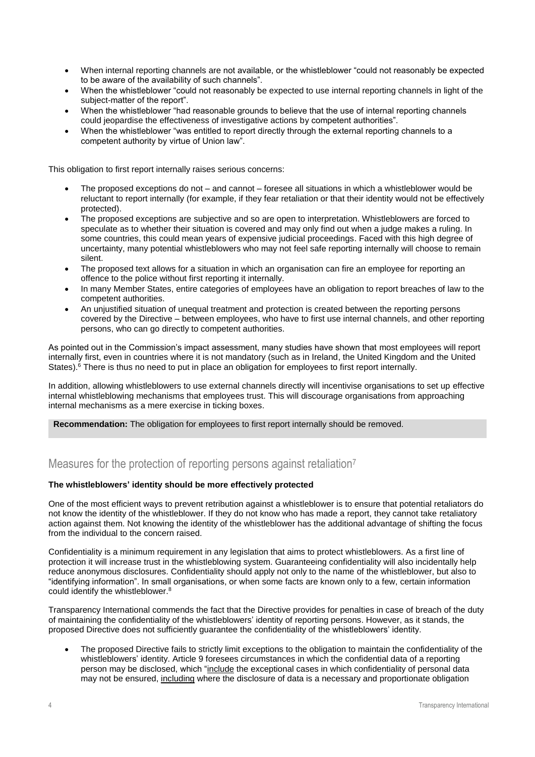- When internal reporting channels are not available, or the whistleblower "could not reasonably be expected to be aware of the availability of such channels".
- When the whistleblower "could not reasonably be expected to use internal reporting channels in light of the subject-matter of the report".
- When the whistleblower "had reasonable grounds to believe that the use of internal reporting channels could jeopardise the effectiveness of investigative actions by competent authorities".
- When the whistleblower "was entitled to report directly through the external reporting channels to a competent authority by virtue of Union law".

This obligation to first report internally raises serious concerns:

- The proposed exceptions do not and cannot foresee all situations in which a whistleblower would be reluctant to report internally (for example, if they fear retaliation or that their identity would not be effectively protected).
- The proposed exceptions are subjective and so are open to interpretation. Whistleblowers are forced to speculate as to whether their situation is covered and may only find out when a judge makes a ruling. In some countries, this could mean years of expensive judicial proceedings. Faced with this high degree of uncertainty, many potential whistleblowers who may not feel safe reporting internally will choose to remain silent.
- The proposed text allows for a situation in which an organisation can fire an employee for reporting an offence to the police without first reporting it internally.
- In many Member States, entire categories of employees have an obligation to report breaches of law to the competent authorities.
- An unjustified situation of unequal treatment and protection is created between the reporting persons covered by the Directive – between employees, who have to first use internal channels, and other reporting persons, who can go directly to competent authorities.

As pointed out in the Commission's impact assessment, many studies have shown that most employees will report internally first, even in countries where it is not mandatory (such as in Ireland, the United Kingdom and the United States).<sup>6</sup> There is thus no need to put in place an obligation for employees to first report internally.

In addition, allowing whistleblowers to use external channels directly will incentivise organisations to set up effective internal whistleblowing mechanisms that employees trust. This will discourage organisations from approaching internal mechanisms as a mere exercise in ticking boxes.

**Recommendation:** The obligation for employees to first report internally should be removed.

# Measures for the protection of reporting persons against retaliation<sup>7</sup>

# **The whistleblowers' identity should be more effectively protected**

One of the most efficient ways to prevent retribution against a whistleblower is to ensure that potential retaliators do not know the identity of the whistleblower. If they do not know who has made a report, they cannot take retaliatory action against them. Not knowing the identity of the whistleblower has the additional advantage of shifting the focus from the individual to the concern raised.

Confidentiality is a minimum requirement in any legislation that aims to protect whistleblowers. As a first line of protection it will increase trust in the whistleblowing system. Guaranteeing confidentiality will also incidentally help reduce anonymous disclosures. Confidentiality should apply not only to the name of the whistleblower, but also to "identifying information". In small organisations, or when some facts are known only to a few, certain information could identify the whistleblower.<sup>8</sup>

Transparency International commends the fact that the Directive provides for penalties in case of breach of the duty of maintaining the confidentiality of the whistleblowers' identity of reporting persons. However, as it stands, the proposed Directive does not sufficiently guarantee the confidentiality of the whistleblowers' identity.

 The proposed Directive fails to strictly limit exceptions to the obligation to maintain the confidentiality of the whistleblowers' identity. Article 9 foresees circumstances in which the confidential data of a reporting person may be disclosed, which "include the exceptional cases in which confidentiality of personal data may not be ensured, including where the disclosure of data is a necessary and proportionate obligation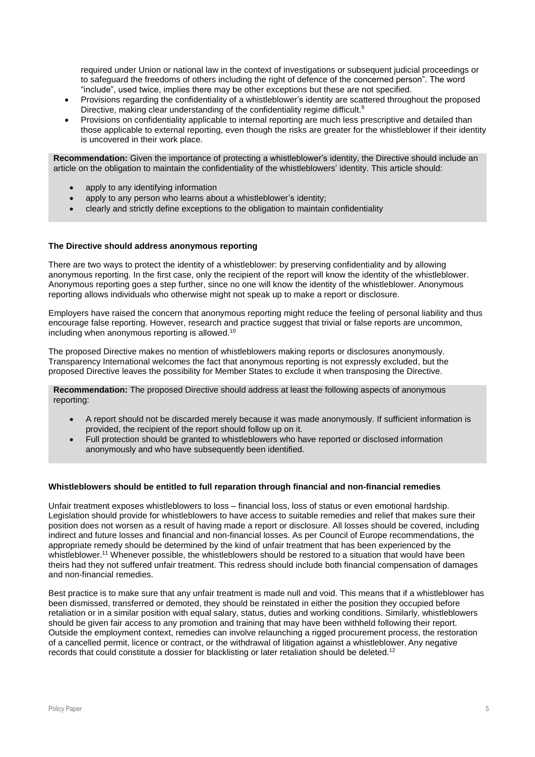required under Union or national law in the context of investigations or subsequent judicial proceedings or to safeguard the freedoms of others including the right of defence of the concerned person". The word "include", used twice, implies there may be other exceptions but these are not specified.

- Provisions regarding the confidentiality of a whistleblower's identity are scattered throughout the proposed Directive, making clear understanding of the confidentiality regime difficult.<sup>9</sup>
- Provisions on confidentiality applicable to internal reporting are much less prescriptive and detailed than those applicable to external reporting, even though the risks are greater for the whistleblower if their identity is uncovered in their work place.

**Recommendation:** Given the importance of protecting a whistleblower's identity, the Directive should include an article on the obligation to maintain the confidentiality of the whistleblowers' identity. This article should:

- apply to any identifying information
- apply to any person who learns about a whistleblower's identity;
- clearly and strictly define exceptions to the obligation to maintain confidentiality

## **The Directive should address anonymous reporting**

There are two ways to protect the identity of a whistleblower: by preserving confidentiality and by allowing anonymous reporting. In the first case, only the recipient of the report will know the identity of the whistleblower. Anonymous reporting goes a step further, since no one will know the identity of the whistleblower. Anonymous reporting allows individuals who otherwise might not speak up to make a report or disclosure.

Employers have raised the concern that anonymous reporting might reduce the feeling of personal liability and thus encourage false reporting. However, research and practice suggest that trivial or false reports are uncommon, including when anonymous reporting is allowed.<sup>10</sup>

The proposed Directive makes no mention of whistleblowers making reports or disclosures anonymously. Transparency International welcomes the fact that anonymous reporting is not expressly excluded, but the proposed Directive leaves the possibility for Member States to exclude it when transposing the Directive.

**Recommendation:** The proposed Directive should address at least the following aspects of anonymous reporting:

- A report should not be discarded merely because it was made anonymously. If sufficient information is provided, the recipient of the report should follow up on it.
- Full protection should be granted to whistleblowers who have reported or disclosed information anonymously and who have subsequently been identified.

#### **Whistleblowers should be entitled to full reparation through financial and non-financial remedies**

Unfair treatment exposes whistleblowers to loss – financial loss, loss of status or even emotional hardship. Legislation should provide for whistleblowers to have access to suitable remedies and relief that makes sure their position does not worsen as a result of having made a report or disclosure. All losses should be covered, including indirect and future losses and financial and non-financial losses. As per Council of Europe recommendations, the appropriate remedy should be determined by the kind of unfair treatment that has been experienced by the whistleblower.<sup>11</sup> Whenever possible, the whistleblowers should be restored to a situation that would have been theirs had they not suffered unfair treatment. This redress should include both financial compensation of damages and non-financial remedies.

Best practice is to make sure that any unfair treatment is made null and void. This means that if a whistleblower has been dismissed, transferred or demoted, they should be reinstated in either the position they occupied before retaliation or in a similar position with equal salary, status, duties and working conditions. Similarly, whistleblowers should be given fair access to any promotion and training that may have been withheld following their report. Outside the employment context, remedies can involve relaunching a rigged procurement process, the restoration of a cancelled permit, licence or contract, or the withdrawal of litigation against a whistleblower. Any negative records that could constitute a dossier for blacklisting or later retaliation should be deleted.12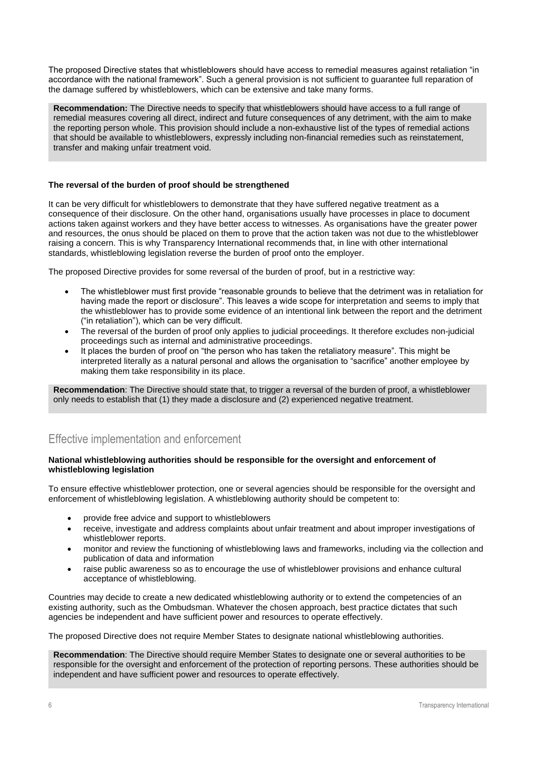The proposed Directive states that whistleblowers should have access to remedial measures against retaliation "in accordance with the national framework". Such a general provision is not sufficient to guarantee full reparation of the damage suffered by whistleblowers, which can be extensive and take many forms.

**Recommendation:** The Directive needs to specify that whistleblowers should have access to a full range of remedial measures covering all direct, indirect and future consequences of any detriment, with the aim to make the reporting person whole. This provision should include a non-exhaustive list of the types of remedial actions that should be available to whistleblowers, expressly including non-financial remedies such as reinstatement, transfer and making unfair treatment void.

# **The reversal of the burden of proof should be strengthened**

It can be very difficult for whistleblowers to demonstrate that they have suffered negative treatment as a consequence of their disclosure. On the other hand, organisations usually have processes in place to document actions taken against workers and they have better access to witnesses. As organisations have the greater power and resources, the onus should be placed on them to prove that the action taken was not due to the whistleblower raising a concern. This is why Transparency International recommends that, in line with other international standards, whistleblowing legislation reverse the burden of proof onto the employer.

The proposed Directive provides for some reversal of the burden of proof, but in a restrictive way:

- The whistleblower must first provide "reasonable grounds to believe that the detriment was in retaliation for having made the report or disclosure". This leaves a wide scope for interpretation and seems to imply that the whistleblower has to provide some evidence of an intentional link between the report and the detriment ("in retaliation"), which can be very difficult.
- The reversal of the burden of proof only applies to judicial proceedings. It therefore excludes non-judicial proceedings such as internal and administrative proceedings.
- It places the burden of proof on "the person who has taken the retaliatory measure". This might be interpreted literally as a natural personal and allows the organisation to "sacrifice" another employee by making them take responsibility in its place.

**Recommendation**: The Directive should state that, to trigger a reversal of the burden of proof, a whistleblower only needs to establish that (1) they made a disclosure and (2) experienced negative treatment.

# Effective implementation and enforcement

#### **National whistleblowing authorities should be responsible for the oversight and enforcement of whistleblowing legislation**

To ensure effective whistleblower protection, one or several agencies should be responsible for the oversight and enforcement of whistleblowing legislation. A whistleblowing authority should be competent to:

- provide free advice and support to whistleblowers
- receive, investigate and address complaints about unfair treatment and about improper investigations of whistleblower reports.
- monitor and review the functioning of whistleblowing laws and frameworks, including via the collection and publication of data and information
- raise public awareness so as to encourage the use of whistleblower provisions and enhance cultural acceptance of whistleblowing.

Countries may decide to create a new dedicated whistleblowing authority or to extend the competencies of an existing authority, such as the Ombudsman. Whatever the chosen approach, best practice dictates that such agencies be independent and have sufficient power and resources to operate effectively.

The proposed Directive does not require Member States to designate national whistleblowing authorities.

**Recommendation**: The Directive should require Member States to designate one or several authorities to be responsible for the oversight and enforcement of the protection of reporting persons. These authorities should be independent and have sufficient power and resources to operate effectively.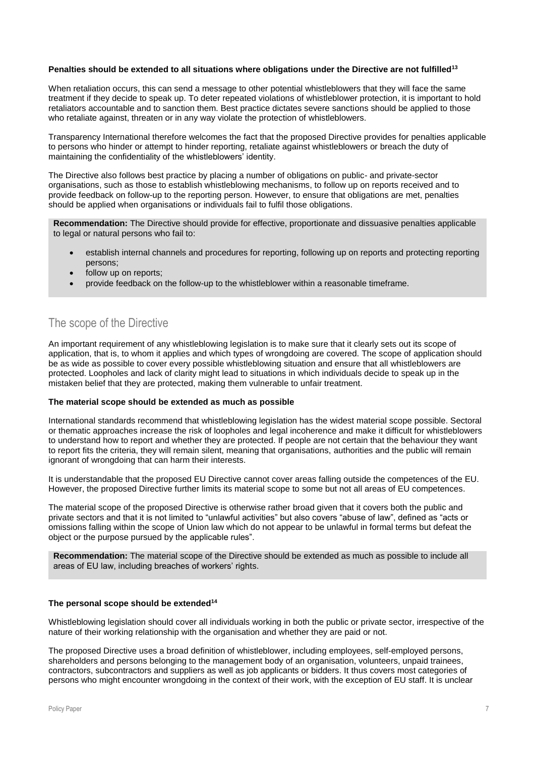# **Penalties should be extended to all situations where obligations under the Directive are not fulfilled<sup>13</sup>**

When retaliation occurs, this can send a message to other potential whistleblowers that they will face the same treatment if they decide to speak up. To deter repeated violations of whistleblower protection, it is important to hold retaliators accountable and to sanction them. Best practice dictates severe sanctions should be applied to those who retaliate against, threaten or in any way violate the protection of whistleblowers.

Transparency International therefore welcomes the fact that the proposed Directive provides for penalties applicable to persons who hinder or attempt to hinder reporting, retaliate against whistleblowers or breach the duty of maintaining the confidentiality of the whistleblowers' identity.

The Directive also follows best practice by placing a number of obligations on public- and private-sector organisations, such as those to establish whistleblowing mechanisms, to follow up on reports received and to provide feedback on follow-up to the reporting person. However, to ensure that obligations are met, penalties should be applied when organisations or individuals fail to fulfil those obligations.

**Recommendation:** The Directive should provide for effective, proportionate and dissuasive penalties applicable to legal or natural persons who fail to:

- establish internal channels and procedures for reporting, following up on reports and protecting reporting persons;
- follow up on reports;
- provide feedback on the follow-up to the whistleblower within a reasonable timeframe.

# The scope of the Directive

An important requirement of any whistleblowing legislation is to make sure that it clearly sets out its scope of application, that is, to whom it applies and which types of wrongdoing are covered. The scope of application should be as wide as possible to cover every possible whistleblowing situation and ensure that all whistleblowers are protected. Loopholes and lack of clarity might lead to situations in which individuals decide to speak up in the mistaken belief that they are protected, making them vulnerable to unfair treatment.

## **The material scope should be extended as much as possible**

International standards recommend that whistleblowing legislation has the widest material scope possible. Sectoral or thematic approaches increase the risk of loopholes and legal incoherence and make it difficult for whistleblowers to understand how to report and whether they are protected. If people are not certain that the behaviour they want to report fits the criteria, they will remain silent, meaning that organisations, authorities and the public will remain ignorant of wrongdoing that can harm their interests.

It is understandable that the proposed EU Directive cannot cover areas falling outside the competences of the EU. However, the proposed Directive further limits its material scope to some but not all areas of EU competences.

The material scope of the proposed Directive is otherwise rather broad given that it covers both the public and private sectors and that it is not limited to "unlawful activities" but also covers "abuse of law", defined as "acts or omissions falling within the scope of Union law which do not appear to be unlawful in formal terms but defeat the object or the purpose pursued by the applicable rules".

**Recommendation:** The material scope of the Directive should be extended as much as possible to include all areas of EU law, including breaches of workers' rights.

#### **The personal scope should be extended<sup>14</sup>**

Whistleblowing legislation should cover all individuals working in both the public or private sector, irrespective of the nature of their working relationship with the organisation and whether they are paid or not.

The proposed Directive uses a broad definition of whistleblower, including employees, self-employed persons, shareholders and persons belonging to the management body of an organisation, volunteers, unpaid trainees, contractors, subcontractors and suppliers as well as job applicants or bidders. It thus covers most categories of persons who might encounter wrongdoing in the context of their work, with the exception of EU staff. It is unclear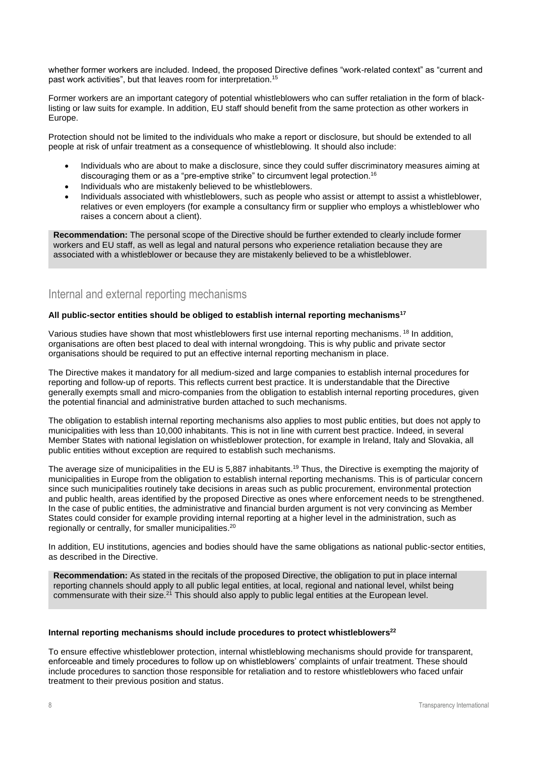whether former workers are included. Indeed, the proposed Directive defines "work-related context" as "current and past work activities", but that leaves room for interpretation.<sup>15</sup>

Former workers are an important category of potential whistleblowers who can suffer retaliation in the form of blacklisting or law suits for example. In addition, EU staff should benefit from the same protection as other workers in Europe.

Protection should not be limited to the individuals who make a report or disclosure, but should be extended to all people at risk of unfair treatment as a consequence of whistleblowing. It should also include:

- Individuals who are about to make a disclosure, since they could suffer discriminatory measures aiming at discouraging them or as a "pre-emptive strike" to circumvent legal protection.<sup>16</sup>
- Individuals who are mistakenly believed to be whistleblowers.
- Individuals associated with whistleblowers, such as people who assist or attempt to assist a whistleblower, relatives or even employers (for example a consultancy firm or supplier who employs a whistleblower who raises a concern about a client).

**Recommendation:** The personal scope of the Directive should be further extended to clearly include former workers and EU staff, as well as legal and natural persons who experience retaliation because they are associated with a whistleblower or because they are mistakenly believed to be a whistleblower.

# Internal and external reporting mechanisms

# **All public-sector entities should be obliged to establish internal reporting mechanisms<sup>17</sup>**

Various studies have shown that most whistleblowers first use internal reporting mechanisms. <sup>18</sup> In addition, organisations are often best placed to deal with internal wrongdoing. This is why public and private sector organisations should be required to put an effective internal reporting mechanism in place.

The Directive makes it mandatory for all medium-sized and large companies to establish internal procedures for reporting and follow-up of reports. This reflects current best practice. It is understandable that the Directive generally exempts small and micro-companies from the obligation to establish internal reporting procedures, given the potential financial and administrative burden attached to such mechanisms.

The obligation to establish internal reporting mechanisms also applies to most public entities, but does not apply to municipalities with less than 10,000 inhabitants. This is not in line with current best practice. Indeed, in several Member States with national legislation on whistleblower protection, for example in Ireland, Italy and Slovakia, all public entities without exception are required to establish such mechanisms.

The average size of municipalities in the EU is 5,887 inhabitants.<sup>19</sup> Thus, the Directive is exempting the majority of municipalities in Europe from the obligation to establish internal reporting mechanisms. This is of particular concern since such municipalities routinely take decisions in areas such as public procurement, environmental protection and public health, areas identified by the proposed Directive as ones where enforcement needs to be strengthened. In the case of public entities, the administrative and financial burden argument is not very convincing as Member States could consider for example providing internal reporting at a higher level in the administration, such as regionally or centrally, for smaller municipalities.<sup>20</sup>

In addition, EU institutions, agencies and bodies should have the same obligations as national public-sector entities, as described in the Directive.

**Recommendation:** As stated in the recitals of the proposed Directive, the obligation to put in place internal reporting channels should apply to all public legal entities, at local, regional and national level, whilst being commensurate with their size.<sup>21</sup> This should also apply to public legal entities at the European level.

#### **Internal reporting mechanisms should include procedures to protect whistleblowers 22**

To ensure effective whistleblower protection, internal whistleblowing mechanisms should provide for transparent, enforceable and timely procedures to follow up on whistleblowers' complaints of unfair treatment. These should include procedures to sanction those responsible for retaliation and to restore whistleblowers who faced unfair treatment to their previous position and status.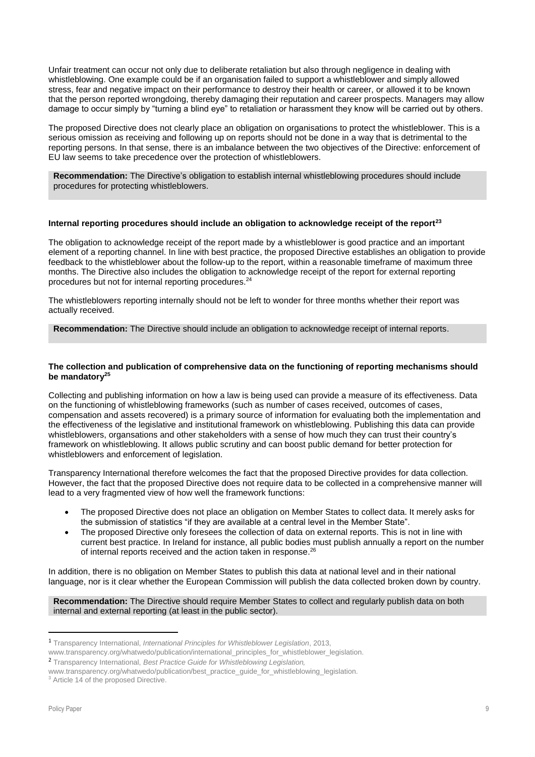Unfair treatment can occur not only due to deliberate retaliation but also through negligence in dealing with whistleblowing. One example could be if an organisation failed to support a whistleblower and simply allowed stress, fear and negative impact on their performance to destroy their health or career, or allowed it to be known that the person reported wrongdoing, thereby damaging their reputation and career prospects. Managers may allow damage to occur simply by "turning a blind eye" to retaliation or harassment they know will be carried out by others.

The proposed Directive does not clearly place an obligation on organisations to protect the whistleblower. This is a serious omission as receiving and following up on reports should not be done in a way that is detrimental to the reporting persons. In that sense, there is an imbalance between the two objectives of the Directive: enforcement of EU law seems to take precedence over the protection of whistleblowers.

**Recommendation:** The Directive's obligation to establish internal whistleblowing procedures should include procedures for protecting whistleblowers.

# **Internal reporting procedures should include an obligation to acknowledge receipt of the report<sup>23</sup>**

The obligation to acknowledge receipt of the report made by a whistleblower is good practice and an important element of a reporting channel. In line with best practice, the proposed Directive establishes an obligation to provide feedback to the whistleblower about the follow-up to the report, within a reasonable timeframe of maximum three months. The Directive also includes the obligation to acknowledge receipt of the report for external reporting procedures but not for internal reporting procedures.<sup>24</sup>

The whistleblowers reporting internally should not be left to wonder for three months whether their report was actually received.

**Recommendation:** The Directive should include an obligation to acknowledge receipt of internal reports.

#### **The collection and publication of comprehensive data on the functioning of reporting mechanisms should be mandatory<sup>25</sup>**

Collecting and publishing information on how a law is being used can provide a measure of its effectiveness. Data on the functioning of whistleblowing frameworks (such as number of cases received, outcomes of cases, compensation and assets recovered) is a primary source of information for evaluating both the implementation and the effectiveness of the legislative and institutional framework on whistleblowing. Publishing this data can provide whistleblowers, organsations and other stakeholders with a sense of how much they can trust their country's framework on whistleblowing. It allows public scrutiny and can boost public demand for better protection for whistleblowers and enforcement of legislation.

Transparency International therefore welcomes the fact that the proposed Directive provides for data collection. However, the fact that the proposed Directive does not require data to be collected in a comprehensive manner will lead to a very fragmented view of how well the framework functions:

- The proposed Directive does not place an obligation on Member States to collect data. It merely asks for the submission of statistics "if they are available at a central level in the Member State".
- The proposed Directive only foresees the collection of data on external reports. This is not in line with current best practice. In Ireland for instance, all public bodies must publish annually a report on the number of internal reports received and the action taken in response.<sup>26</sup>

In addition, there is no obligation on Member States to publish this data at national level and in their national language, nor is it clear whether the European Commission will publish the data collected broken down by country.

**Recommendation:** The Directive should require Member States to collect and regularly publish data on both internal and external reporting (at least in the public sector).

1

<sup>1</sup> Transparency International, *International Principles for Whistleblower Legislation*, 2013,

[www.transparency.org/whatwedo/publication/international\\_principles\\_for\\_whistleblower\\_legislation.](http://www.transparency.org/whatwedo/publication/international_principles_for_whistleblower_legislation)

<sup>2</sup> Transparency International, *Best Practice Guide for Whistleblowing Legislation,* 

www.transparency.org/whatwedo/publication/best\_practice\_guide\_for\_whistleblowing\_legislation. <sup>3</sup> Article 14 of the proposed Directive.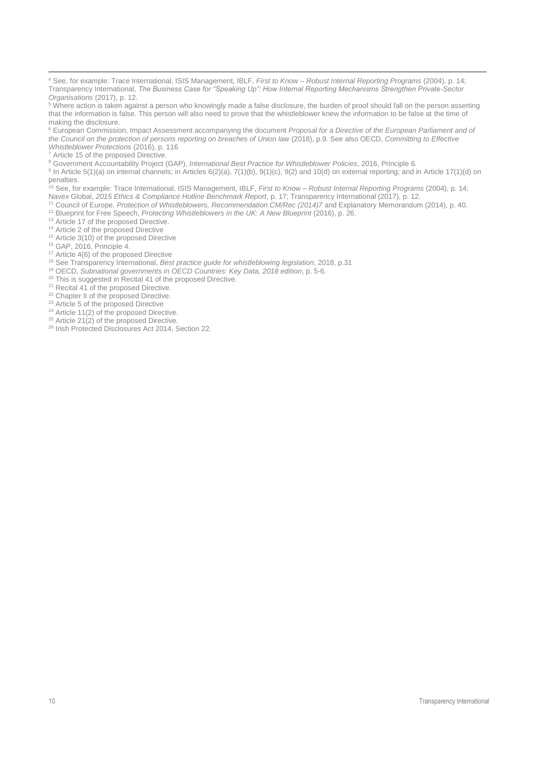$\overline{a}$ <sup>4</sup> See, for example: Trace International, ISIS Management, IBLF, *First to Know – Robust Internal Reporting Programs* (2004), p. 14; Transparency International, *The Business Case for "Speaking Up": How Internal Reporting Mechanisms Strengthen Private-Sector Organisations* (2017), p. 12.

<sup>5</sup> Where action is taken against a person who knowingly made a false disclosure, the burden of proof should fall on the person asserting that the information is false. This person will also need to prove that the whistleblower knew the information to be false at the time of making the disclosure.

<sup>6</sup> European Commission, Impact Assessment accompanying the document *Proposal for a Directive of the European Parliament and of the Council on the protection of persons reporting on breaches of Union law* (2018), p.9. See also OECD, *Committing to Effective Whistleblower Protections* (2016), p. 116

<sup>7</sup> Article 15 of the proposed Directive.

<sup>8</sup> Government Accountability Project (GAP), *International Best Practice for Whistleblower Policies*, 2016, Principle 6.

 $^9$  In Article 5(1)(a) on internal channels; in Articles 6(2)(a), 7(1)(b), 9(1)(c), 9(2) and 10(d) on external reporting; and in Article 17(1)(d) on penalties.

<sup>10</sup> See, for example: Trace International, ISIS Management, IBLF, *First to Know – Robust Internal Reporting Programs* (2004), p. 14; Navex Global, *2015 Ethics & Compliance Hotline Benchmark Report*, p. 17; Transparency International (2017), p. 12.

<sup>11</sup> Council of Europe, *Protection of Whistleblowers, Recommendation CM/Rec (2014)7* and Explanatory Memorandum (2014), p. 40.

<sup>12</sup> Blueprint for Free Speech, *Protecting Whistleblowers in the UK: A New Blueprint* (2016), p. 26.

<sup>13</sup> Article 17 of the proposed Directive.

- <sup>14</sup> Article 2 of the proposed Directive
- <sup>15</sup> Article 3(10) of the proposed Directive
- <sup>16</sup> GAP, 2016, Principle 4.
- <sup>17</sup> Article 4(6) of the proposed Directive
- <sup>18</sup> See Transparency International, *Best practice guide for whistleblowing legislation*, 2018, p.31
- <sup>19</sup> OECD, *Subnational governments in OECD Countries: Key Data, 2018 edition*, p. 5-6.
- <sup>20</sup> This is suggested in Recital 41 of the proposed Directive.

<sup>21</sup> Recital 41 of the proposed Directive.

<sup>22</sup> Chapter II of the proposed Directive.

<sup>23</sup> Article 5 of the proposed Directive

<sup>24</sup> Article 11(2) of the proposed Directive.

<sup>25</sup> Article 21(2) of the proposed Directive.

<sup>26</sup> Irish Protected Disclosures Act 2014, Section 22.